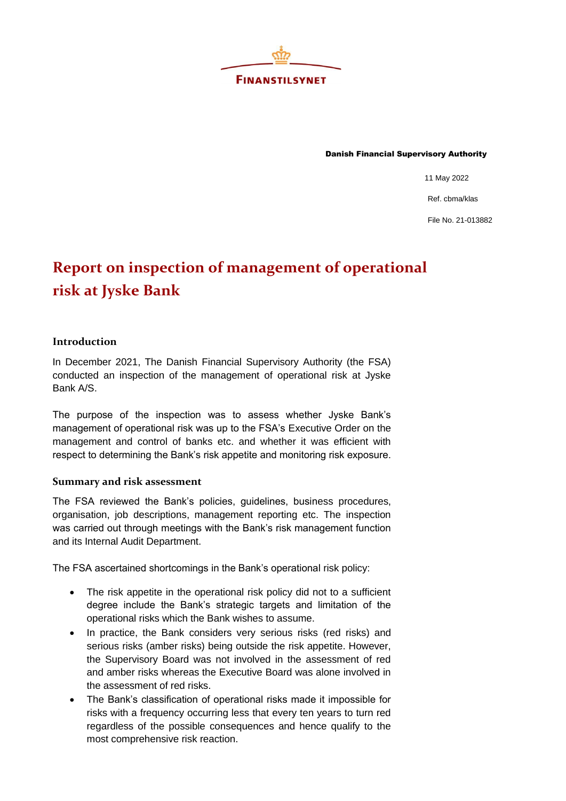

Danish Financial Supervisory Authority

11 May 2022

Ref. cbma/klas

File No. 21-013882

## **Report on inspection of management of operational risk at Jyske Bank**

## **Introduction**

In December 2021, The Danish Financial Supervisory Authority (the FSA) conducted an inspection of the management of operational risk at Jyske Bank A/S.

The purpose of the inspection was to assess whether Jyske Bank's management of operational risk was up to the FSA's Executive Order on the management and control of banks etc. and whether it was efficient with respect to determining the Bank's risk appetite and monitoring risk exposure.

## **Summary and risk assessment**

The FSA reviewed the Bank's policies, guidelines, business procedures, organisation, job descriptions, management reporting etc. The inspection was carried out through meetings with the Bank's risk management function and its Internal Audit Department.

The FSA ascertained shortcomings in the Bank's operational risk policy:

- The risk appetite in the operational risk policy did not to a sufficient degree include the Bank's strategic targets and limitation of the operational risks which the Bank wishes to assume.
- In practice, the Bank considers very serious risks (red risks) and serious risks (amber risks) being outside the risk appetite. However, the Supervisory Board was not involved in the assessment of red and amber risks whereas the Executive Board was alone involved in the assessment of red risks.
- The Bank's classification of operational risks made it impossible for risks with a frequency occurring less that every ten years to turn red regardless of the possible consequences and hence qualify to the most comprehensive risk reaction.